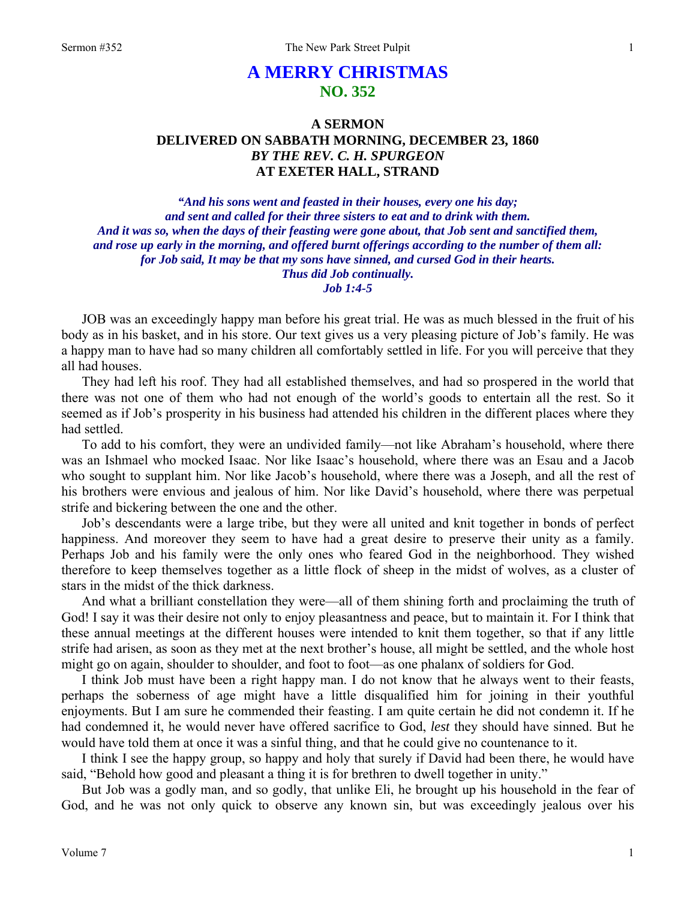## **A MERRY CHRISTMAS NO. 352**

## **A SERMON DELIVERED ON SABBATH MORNING, DECEMBER 23, 1860**  *BY THE REV. C. H. SPURGEON*  **AT EXETER HALL, STRAND**

*"And his sons went and feasted in their houses, every one his day; and sent and called for their three sisters to eat and to drink with them. And it was so, when the days of their feasting were gone about, that Job sent and sanctified them, and rose up early in the morning, and offered burnt offerings according to the number of them all: for Job said, It may be that my sons have sinned, and cursed God in their hearts. Thus did Job continually. Job 1:4-5* 

JOB was an exceedingly happy man before his great trial. He was as much blessed in the fruit of his body as in his basket, and in his store. Our text gives us a very pleasing picture of Job's family. He was a happy man to have had so many children all comfortably settled in life. For you will perceive that they all had houses.

They had left his roof. They had all established themselves, and had so prospered in the world that there was not one of them who had not enough of the world's goods to entertain all the rest. So it seemed as if Job's prosperity in his business had attended his children in the different places where they had settled.

To add to his comfort, they were an undivided family—not like Abraham's household, where there was an Ishmael who mocked Isaac. Nor like Isaac's household, where there was an Esau and a Jacob who sought to supplant him. Nor like Jacob's household, where there was a Joseph, and all the rest of his brothers were envious and jealous of him. Nor like David's household, where there was perpetual strife and bickering between the one and the other.

Job's descendants were a large tribe, but they were all united and knit together in bonds of perfect happiness. And moreover they seem to have had a great desire to preserve their unity as a family. Perhaps Job and his family were the only ones who feared God in the neighborhood. They wished therefore to keep themselves together as a little flock of sheep in the midst of wolves, as a cluster of stars in the midst of the thick darkness.

And what a brilliant constellation they were—all of them shining forth and proclaiming the truth of God! I say it was their desire not only to enjoy pleasantness and peace, but to maintain it. For I think that these annual meetings at the different houses were intended to knit them together, so that if any little strife had arisen, as soon as they met at the next brother's house, all might be settled, and the whole host might go on again, shoulder to shoulder, and foot to foot—as one phalanx of soldiers for God.

I think Job must have been a right happy man. I do not know that he always went to their feasts, perhaps the soberness of age might have a little disqualified him for joining in their youthful enjoyments. But I am sure he commended their feasting. I am quite certain he did not condemn it. If he had condemned it, he would never have offered sacrifice to God, *lest* they should have sinned. But he would have told them at once it was a sinful thing, and that he could give no countenance to it.

I think I see the happy group, so happy and holy that surely if David had been there, he would have said, "Behold how good and pleasant a thing it is for brethren to dwell together in unity."

But Job was a godly man, and so godly, that unlike Eli, he brought up his household in the fear of God, and he was not only quick to observe any known sin, but was exceedingly jealous over his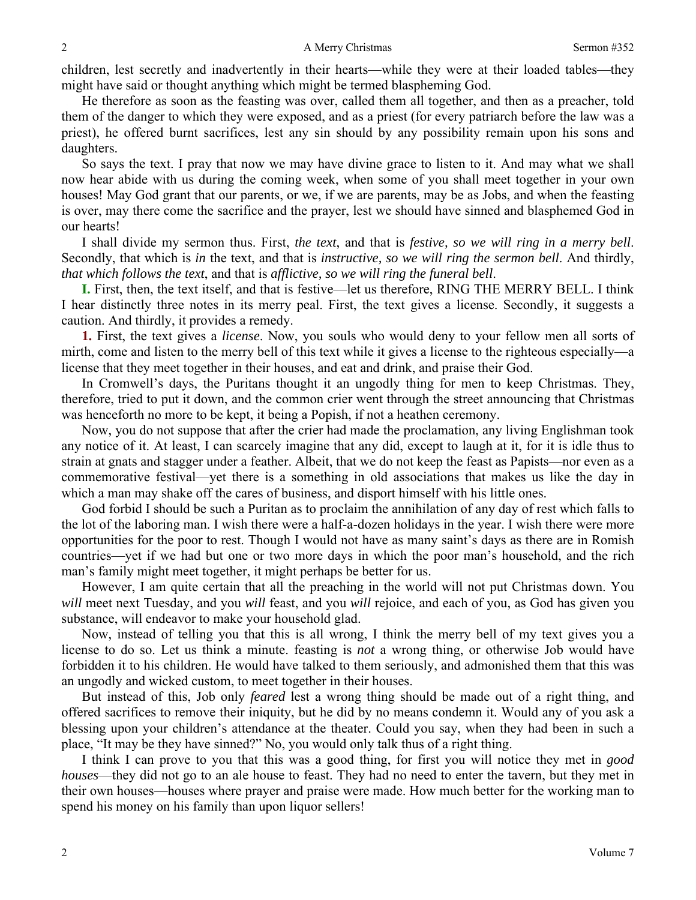children, lest secretly and inadvertently in their hearts—while they were at their loaded tables—they might have said or thought anything which might be termed blaspheming God.

He therefore as soon as the feasting was over, called them all together, and then as a preacher, told them of the danger to which they were exposed, and as a priest (for every patriarch before the law was a priest), he offered burnt sacrifices, lest any sin should by any possibility remain upon his sons and daughters.

So says the text. I pray that now we may have divine grace to listen to it. And may what we shall now hear abide with us during the coming week, when some of you shall meet together in your own houses! May God grant that our parents, or we, if we are parents, may be as Jobs, and when the feasting is over, may there come the sacrifice and the prayer, lest we should have sinned and blasphemed God in our hearts!

I shall divide my sermon thus. First, *the text*, and that is *festive, so we will ring in a merry bell*. Secondly, that which is *in* the text, and that is *instructive, so we will ring the sermon bell*. And thirdly, *that which follows the text*, and that is *afflictive, so we will ring the funeral bell*.

**I.** First, then, the text itself, and that is festive—let us therefore, RING THE MERRY BELL. I think I hear distinctly three notes in its merry peal. First, the text gives a license. Secondly, it suggests a caution. And thirdly, it provides a remedy.

**1.** First, the text gives a *license*. Now, you souls who would deny to your fellow men all sorts of mirth, come and listen to the merry bell of this text while it gives a license to the righteous especially—a license that they meet together in their houses, and eat and drink, and praise their God.

In Cromwell's days, the Puritans thought it an ungodly thing for men to keep Christmas. They, therefore, tried to put it down, and the common crier went through the street announcing that Christmas was henceforth no more to be kept, it being a Popish, if not a heathen ceremony.

Now, you do not suppose that after the crier had made the proclamation, any living Englishman took any notice of it. At least, I can scarcely imagine that any did, except to laugh at it, for it is idle thus to strain at gnats and stagger under a feather. Albeit, that we do not keep the feast as Papists—nor even as a commemorative festival—yet there is a something in old associations that makes us like the day in which a man may shake off the cares of business, and disport himself with his little ones.

God forbid I should be such a Puritan as to proclaim the annihilation of any day of rest which falls to the lot of the laboring man. I wish there were a half-a-dozen holidays in the year. I wish there were more opportunities for the poor to rest. Though I would not have as many saint's days as there are in Romish countries—yet if we had but one or two more days in which the poor man's household, and the rich man's family might meet together, it might perhaps be better for us.

However, I am quite certain that all the preaching in the world will not put Christmas down. You *will* meet next Tuesday, and you *will* feast, and you *will* rejoice, and each of you, as God has given you substance, will endeavor to make your household glad.

Now, instead of telling you that this is all wrong, I think the merry bell of my text gives you a license to do so. Let us think a minute. feasting is *not* a wrong thing, or otherwise Job would have forbidden it to his children. He would have talked to them seriously, and admonished them that this was an ungodly and wicked custom, to meet together in their houses.

But instead of this, Job only *feared* lest a wrong thing should be made out of a right thing, and offered sacrifices to remove their iniquity, but he did by no means condemn it. Would any of you ask a blessing upon your children's attendance at the theater. Could you say, when they had been in such a place, "It may be they have sinned?" No, you would only talk thus of a right thing.

I think I can prove to you that this was a good thing, for first you will notice they met in *good houses*—they did not go to an ale house to feast. They had no need to enter the tavern, but they met in their own houses—houses where prayer and praise were made. How much better for the working man to spend his money on his family than upon liquor sellers!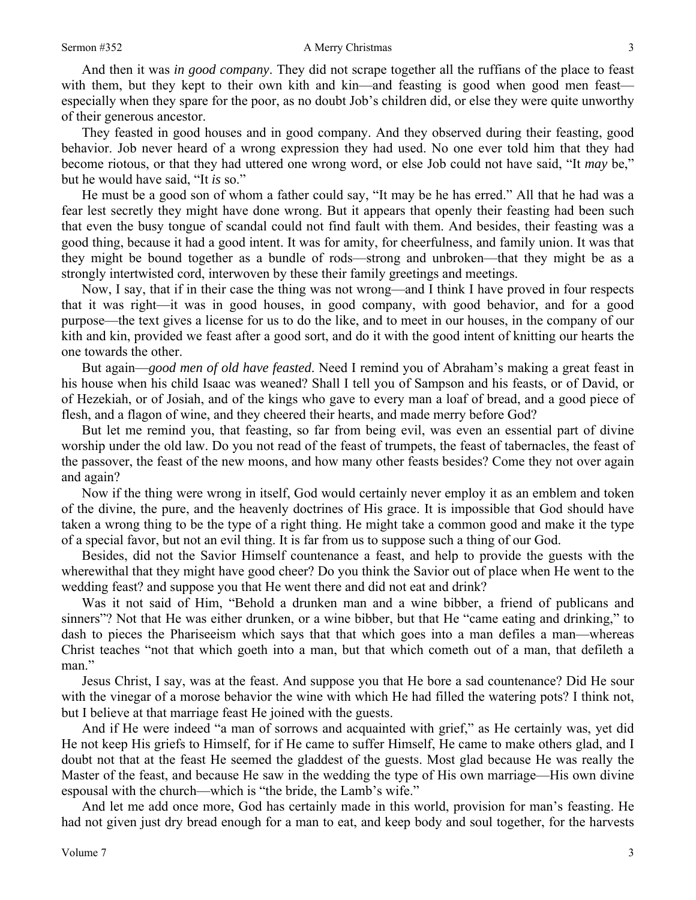And then it was *in good company*. They did not scrape together all the ruffians of the place to feast with them, but they kept to their own kith and kin—and feasting is good when good men feast especially when they spare for the poor, as no doubt Job's children did, or else they were quite unworthy of their generous ancestor.

They feasted in good houses and in good company. And they observed during their feasting, good behavior. Job never heard of a wrong expression they had used. No one ever told him that they had become riotous, or that they had uttered one wrong word, or else Job could not have said, "It *may* be," but he would have said, "It *is* so."

He must be a good son of whom a father could say, "It may be he has erred." All that he had was a fear lest secretly they might have done wrong. But it appears that openly their feasting had been such that even the busy tongue of scandal could not find fault with them. And besides, their feasting was a good thing, because it had a good intent. It was for amity, for cheerfulness, and family union. It was that they might be bound together as a bundle of rods—strong and unbroken—that they might be as a strongly intertwisted cord, interwoven by these their family greetings and meetings.

Now, I say, that if in their case the thing was not wrong—and I think I have proved in four respects that it was right—it was in good houses, in good company, with good behavior, and for a good purpose—the text gives a license for us to do the like, and to meet in our houses, in the company of our kith and kin, provided we feast after a good sort, and do it with the good intent of knitting our hearts the one towards the other.

But again—*good men of old have feasted*. Need I remind you of Abraham's making a great feast in his house when his child Isaac was weaned? Shall I tell you of Sampson and his feasts, or of David, or of Hezekiah, or of Josiah, and of the kings who gave to every man a loaf of bread, and a good piece of flesh, and a flagon of wine, and they cheered their hearts, and made merry before God?

But let me remind you, that feasting, so far from being evil, was even an essential part of divine worship under the old law. Do you not read of the feast of trumpets, the feast of tabernacles, the feast of the passover, the feast of the new moons, and how many other feasts besides? Come they not over again and again?

Now if the thing were wrong in itself, God would certainly never employ it as an emblem and token of the divine, the pure, and the heavenly doctrines of His grace. It is impossible that God should have taken a wrong thing to be the type of a right thing. He might take a common good and make it the type of a special favor, but not an evil thing. It is far from us to suppose such a thing of our God.

Besides, did not the Savior Himself countenance a feast, and help to provide the guests with the wherewithal that they might have good cheer? Do you think the Savior out of place when He went to the wedding feast? and suppose you that He went there and did not eat and drink?

Was it not said of Him, "Behold a drunken man and a wine bibber, a friend of publicans and sinners"? Not that He was either drunken, or a wine bibber, but that He "came eating and drinking," to dash to pieces the Phariseeism which says that that which goes into a man defiles a man—whereas Christ teaches "not that which goeth into a man, but that which cometh out of a man, that defileth a man."

Jesus Christ, I say, was at the feast. And suppose you that He bore a sad countenance? Did He sour with the vinegar of a morose behavior the wine with which He had filled the watering pots? I think not, but I believe at that marriage feast He joined with the guests.

And if He were indeed "a man of sorrows and acquainted with grief," as He certainly was, yet did He not keep His griefs to Himself, for if He came to suffer Himself, He came to make others glad, and I doubt not that at the feast He seemed the gladdest of the guests. Most glad because He was really the Master of the feast, and because He saw in the wedding the type of His own marriage—His own divine espousal with the church—which is "the bride, the Lamb's wife."

And let me add once more, God has certainly made in this world, provision for man's feasting. He had not given just dry bread enough for a man to eat, and keep body and soul together, for the harvests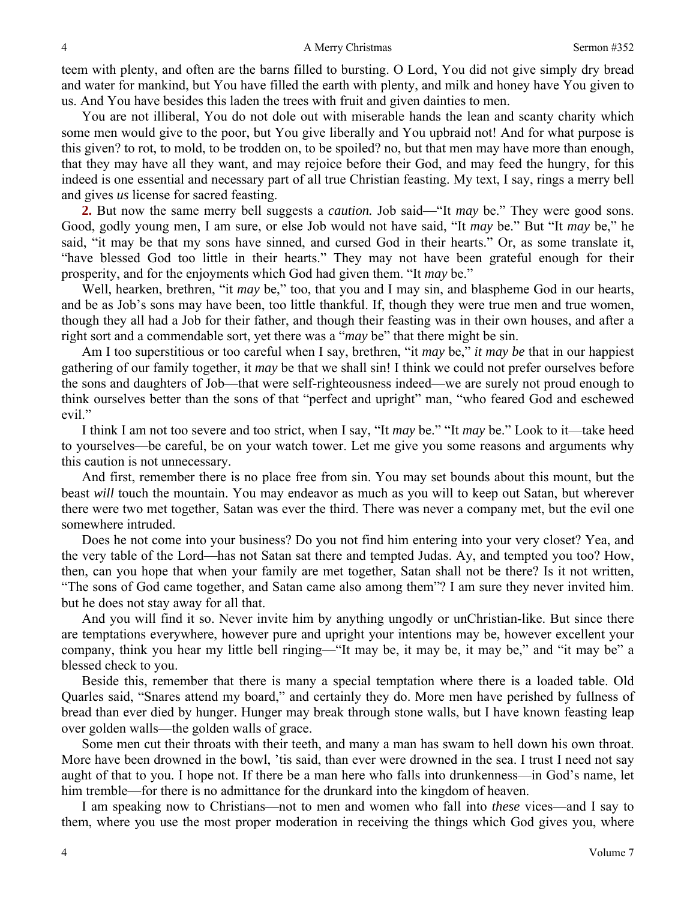teem with plenty, and often are the barns filled to bursting. O Lord, You did not give simply dry bread and water for mankind, but You have filled the earth with plenty, and milk and honey have You given to us. And You have besides this laden the trees with fruit and given dainties to men.

You are not illiberal, You do not dole out with miserable hands the lean and scanty charity which some men would give to the poor, but You give liberally and You upbraid not! And for what purpose is this given? to rot, to mold, to be trodden on, to be spoiled? no, but that men may have more than enough, that they may have all they want, and may rejoice before their God, and may feed the hungry, for this indeed is one essential and necessary part of all true Christian feasting. My text, I say, rings a merry bell and gives *us* license for sacred feasting.

**2.** But now the same merry bell suggests a *caution.* Job said—"It *may* be." They were good sons. Good, godly young men, I am sure, or else Job would not have said, "It *may* be." But "It *may* be," he said, "it may be that my sons have sinned, and cursed God in their hearts." Or, as some translate it, "have blessed God too little in their hearts." They may not have been grateful enough for their prosperity, and for the enjoyments which God had given them. "It *may* be."

Well, hearken, brethren, "it *may* be," too, that you and I may sin, and blaspheme God in our hearts, and be as Job's sons may have been, too little thankful. If, though they were true men and true women, though they all had a Job for their father, and though their feasting was in their own houses, and after a right sort and a commendable sort, yet there was a "*may* be" that there might be sin.

Am I too superstitious or too careful when I say, brethren, "it *may* be," *it may be* that in our happiest gathering of our family together, it *may* be that we shall sin! I think we could not prefer ourselves before the sons and daughters of Job—that were self-righteousness indeed—we are surely not proud enough to think ourselves better than the sons of that "perfect and upright" man, "who feared God and eschewed evil."

I think I am not too severe and too strict, when I say, "It *may* be." "It *may* be." Look to it—take heed to yourselves—be careful, be on your watch tower. Let me give you some reasons and arguments why this caution is not unnecessary.

And first, remember there is no place free from sin. You may set bounds about this mount, but the beast *will* touch the mountain. You may endeavor as much as you will to keep out Satan, but wherever there were two met together, Satan was ever the third. There was never a company met, but the evil one somewhere intruded.

Does he not come into your business? Do you not find him entering into your very closet? Yea, and the very table of the Lord—has not Satan sat there and tempted Judas. Ay, and tempted you too? How, then, can you hope that when your family are met together, Satan shall not be there? Is it not written, "The sons of God came together, and Satan came also among them"? I am sure they never invited him. but he does not stay away for all that.

And you will find it so. Never invite him by anything ungodly or unChristian-like. But since there are temptations everywhere, however pure and upright your intentions may be, however excellent your company, think you hear my little bell ringing—"It may be, it may be, it may be," and "it may be" a blessed check to you.

Beside this, remember that there is many a special temptation where there is a loaded table. Old Quarles said, "Snares attend my board," and certainly they do. More men have perished by fullness of bread than ever died by hunger. Hunger may break through stone walls, but I have known feasting leap over golden walls—the golden walls of grace.

Some men cut their throats with their teeth, and many a man has swam to hell down his own throat. More have been drowned in the bowl, 'tis said, than ever were drowned in the sea. I trust I need not say aught of that to you. I hope not. If there be a man here who falls into drunkenness—in God's name, let him tremble—for there is no admittance for the drunkard into the kingdom of heaven.

I am speaking now to Christians—not to men and women who fall into *these* vices—and I say to them, where you use the most proper moderation in receiving the things which God gives you, where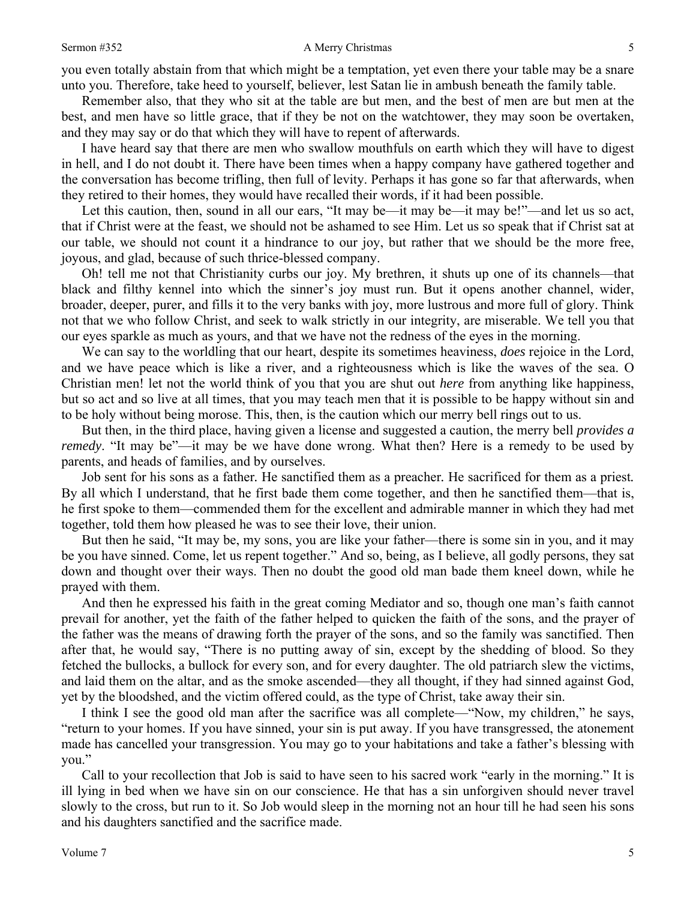you even totally abstain from that which might be a temptation, yet even there your table may be a snare unto you. Therefore, take heed to yourself, believer, lest Satan lie in ambush beneath the family table.

Remember also, that they who sit at the table are but men, and the best of men are but men at the best, and men have so little grace, that if they be not on the watchtower, they may soon be overtaken, and they may say or do that which they will have to repent of afterwards.

I have heard say that there are men who swallow mouthfuls on earth which they will have to digest in hell, and I do not doubt it. There have been times when a happy company have gathered together and the conversation has become trifling, then full of levity. Perhaps it has gone so far that afterwards, when they retired to their homes, they would have recalled their words, if it had been possible.

Let this caution, then, sound in all our ears, "It may be—it may be—it may be!"—and let us so act, that if Christ were at the feast, we should not be ashamed to see Him. Let us so speak that if Christ sat at our table, we should not count it a hindrance to our joy, but rather that we should be the more free, joyous, and glad, because of such thrice-blessed company.

Oh! tell me not that Christianity curbs our joy. My brethren, it shuts up one of its channels—that black and filthy kennel into which the sinner's joy must run. But it opens another channel, wider, broader, deeper, purer, and fills it to the very banks with joy, more lustrous and more full of glory. Think not that we who follow Christ, and seek to walk strictly in our integrity, are miserable. We tell you that our eyes sparkle as much as yours, and that we have not the redness of the eyes in the morning.

We can say to the worldling that our heart, despite its sometimes heaviness, *does* rejoice in the Lord, and we have peace which is like a river, and a righteousness which is like the waves of the sea. O Christian men! let not the world think of you that you are shut out *here* from anything like happiness, but so act and so live at all times, that you may teach men that it is possible to be happy without sin and to be holy without being morose. This, then, is the caution which our merry bell rings out to us.

But then, in the third place, having given a license and suggested a caution, the merry bell *provides a remedy*. "It may be"—it may be we have done wrong. What then? Here is a remedy to be used by parents, and heads of families, and by ourselves.

Job sent for his sons as a father*.* He sanctified them as a preacher*.* He sacrificed for them as a priest*.* By all which I understand, that he first bade them come together, and then he sanctified them—that is, he first spoke to them—commended them for the excellent and admirable manner in which they had met together, told them how pleased he was to see their love, their union.

But then he said, "It may be, my sons, you are like your father—there is some sin in you, and it may be you have sinned. Come, let us repent together." And so, being, as I believe, all godly persons, they sat down and thought over their ways. Then no doubt the good old man bade them kneel down, while he prayed with them.

And then he expressed his faith in the great coming Mediator and so, though one man's faith cannot prevail for another, yet the faith of the father helped to quicken the faith of the sons, and the prayer of the father was the means of drawing forth the prayer of the sons, and so the family was sanctified. Then after that, he would say, "There is no putting away of sin, except by the shedding of blood. So they fetched the bullocks, a bullock for every son, and for every daughter. The old patriarch slew the victims, and laid them on the altar, and as the smoke ascended—they all thought, if they had sinned against God, yet by the bloodshed, and the victim offered could, as the type of Christ, take away their sin.

I think I see the good old man after the sacrifice was all complete—"Now, my children," he says, "return to your homes. If you have sinned, your sin is put away. If you have transgressed, the atonement made has cancelled your transgression. You may go to your habitations and take a father's blessing with you."

Call to your recollection that Job is said to have seen to his sacred work "early in the morning." It is ill lying in bed when we have sin on our conscience. He that has a sin unforgiven should never travel slowly to the cross, but run to it. So Job would sleep in the morning not an hour till he had seen his sons and his daughters sanctified and the sacrifice made.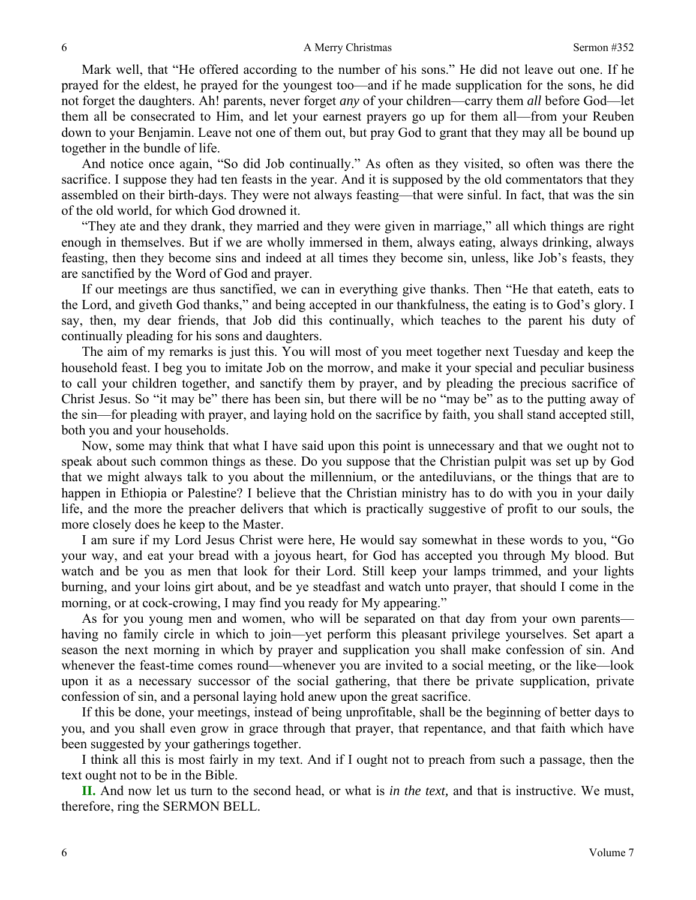Mark well, that "He offered according to the number of his sons." He did not leave out one. If he prayed for the eldest, he prayed for the youngest too—and if he made supplication for the sons, he did not forget the daughters. Ah! parents, never forget *any* of your children—carry them *all* before God—let them all be consecrated to Him, and let your earnest prayers go up for them all—from your Reuben down to your Benjamin. Leave not one of them out, but pray God to grant that they may all be bound up together in the bundle of life.

And notice once again, "So did Job continually." As often as they visited, so often was there the sacrifice. I suppose they had ten feasts in the year. And it is supposed by the old commentators that they assembled on their birth-days. They were not always feasting—that were sinful. In fact, that was the sin of the old world, for which God drowned it.

"They ate and they drank, they married and they were given in marriage," all which things are right enough in themselves. But if we are wholly immersed in them, always eating, always drinking, always feasting, then they become sins and indeed at all times they become sin, unless, like Job's feasts, they are sanctified by the Word of God and prayer.

If our meetings are thus sanctified, we can in everything give thanks. Then "He that eateth, eats to the Lord, and giveth God thanks," and being accepted in our thankfulness, the eating is to God's glory. I say, then, my dear friends, that Job did this continually, which teaches to the parent his duty of continually pleading for his sons and daughters.

The aim of my remarks is just this. You will most of you meet together next Tuesday and keep the household feast. I beg you to imitate Job on the morrow, and make it your special and peculiar business to call your children together, and sanctify them by prayer, and by pleading the precious sacrifice of Christ Jesus. So "it may be" there has been sin, but there will be no "may be" as to the putting away of the sin—for pleading with prayer, and laying hold on the sacrifice by faith, you shall stand accepted still, both you and your households.

Now, some may think that what I have said upon this point is unnecessary and that we ought not to speak about such common things as these. Do you suppose that the Christian pulpit was set up by God that we might always talk to you about the millennium, or the antediluvians, or the things that are to happen in Ethiopia or Palestine? I believe that the Christian ministry has to do with you in your daily life, and the more the preacher delivers that which is practically suggestive of profit to our souls, the more closely does he keep to the Master.

I am sure if my Lord Jesus Christ were here, He would say somewhat in these words to you, "Go your way, and eat your bread with a joyous heart, for God has accepted you through My blood. But watch and be you as men that look for their Lord. Still keep your lamps trimmed, and your lights burning, and your loins girt about, and be ye steadfast and watch unto prayer, that should I come in the morning, or at cock-crowing, I may find you ready for My appearing."

As for you young men and women, who will be separated on that day from your own parents having no family circle in which to join—yet perform this pleasant privilege yourselves. Set apart a season the next morning in which by prayer and supplication you shall make confession of sin. And whenever the feast-time comes round—whenever you are invited to a social meeting, or the like—look upon it as a necessary successor of the social gathering, that there be private supplication, private confession of sin, and a personal laying hold anew upon the great sacrifice.

If this be done, your meetings, instead of being unprofitable, shall be the beginning of better days to you, and you shall even grow in grace through that prayer, that repentance, and that faith which have been suggested by your gatherings together.

I think all this is most fairly in my text. And if I ought not to preach from such a passage, then the text ought not to be in the Bible.

**II.** And now let us turn to the second head, or what is *in the text,* and that is instructive. We must, therefore, ring the SERMON BELL.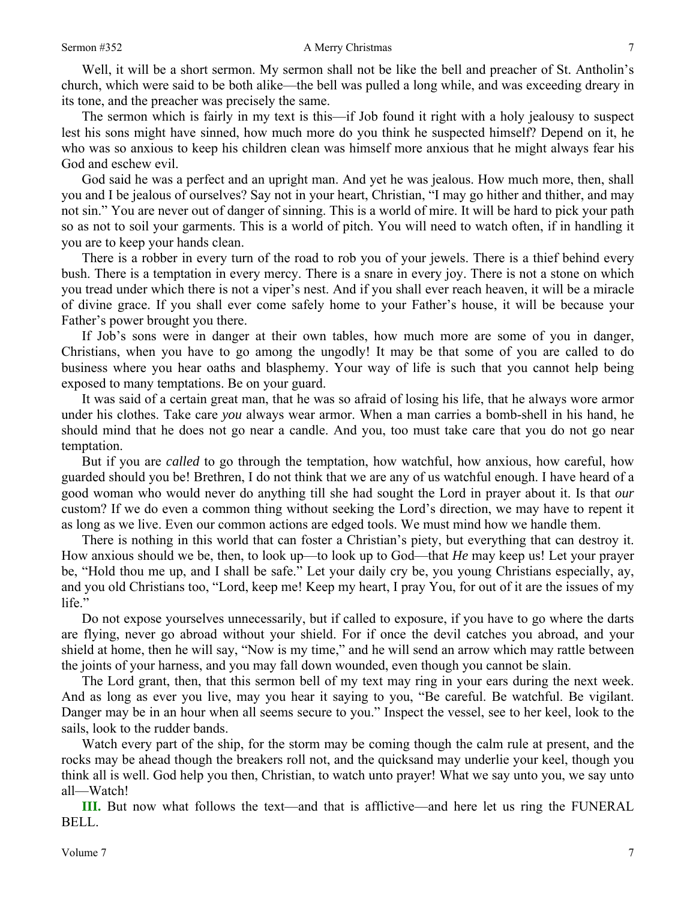Well, it will be a short sermon. My sermon shall not be like the bell and preacher of St. Antholin's church, which were said to be both alike—the bell was pulled a long while, and was exceeding dreary in its tone, and the preacher was precisely the same.

The sermon which is fairly in my text is this—if Job found it right with a holy jealousy to suspect lest his sons might have sinned, how much more do you think he suspected himself? Depend on it, he who was so anxious to keep his children clean was himself more anxious that he might always fear his God and eschew evil.

God said he was a perfect and an upright man. And yet he was jealous. How much more, then, shall you and I be jealous of ourselves? Say not in your heart, Christian, "I may go hither and thither, and may not sin." You are never out of danger of sinning. This is a world of mire. It will be hard to pick your path so as not to soil your garments. This is a world of pitch. You will need to watch often, if in handling it you are to keep your hands clean.

There is a robber in every turn of the road to rob you of your jewels. There is a thief behind every bush. There is a temptation in every mercy. There is a snare in every joy. There is not a stone on which you tread under which there is not a viper's nest. And if you shall ever reach heaven, it will be a miracle of divine grace. If you shall ever come safely home to your Father's house, it will be because your Father's power brought you there.

If Job's sons were in danger at their own tables, how much more are some of you in danger, Christians, when you have to go among the ungodly! It may be that some of you are called to do business where you hear oaths and blasphemy. Your way of life is such that you cannot help being exposed to many temptations. Be on your guard.

It was said of a certain great man, that he was so afraid of losing his life, that he always wore armor under his clothes. Take care *you* always wear armor. When a man carries a bomb-shell in his hand, he should mind that he does not go near a candle. And you, too must take care that you do not go near temptation.

But if you are *called* to go through the temptation, how watchful, how anxious, how careful, how guarded should you be! Brethren, I do not think that we are any of us watchful enough. I have heard of a good woman who would never do anything till she had sought the Lord in prayer about it. Is that *our* custom? If we do even a common thing without seeking the Lord's direction, we may have to repent it as long as we live. Even our common actions are edged tools. We must mind how we handle them.

There is nothing in this world that can foster a Christian's piety, but everything that can destroy it. How anxious should we be, then, to look up—to look up to God—that *He* may keep us! Let your prayer be, "Hold thou me up, and I shall be safe." Let your daily cry be, you young Christians especially, ay, and you old Christians too, "Lord, keep me! Keep my heart, I pray You, for out of it are the issues of my life."

Do not expose yourselves unnecessarily, but if called to exposure, if you have to go where the darts are flying, never go abroad without your shield. For if once the devil catches you abroad, and your shield at home, then he will say, "Now is my time," and he will send an arrow which may rattle between the joints of your harness, and you may fall down wounded, even though you cannot be slain.

The Lord grant, then, that this sermon bell of my text may ring in your ears during the next week. And as long as ever you live, may you hear it saying to you, "Be careful. Be watchful. Be vigilant. Danger may be in an hour when all seems secure to you." Inspect the vessel, see to her keel, look to the sails, look to the rudder bands.

Watch every part of the ship, for the storm may be coming though the calm rule at present, and the rocks may be ahead though the breakers roll not, and the quicksand may underlie your keel, though you think all is well. God help you then, Christian, to watch unto prayer! What we say unto you, we say unto all—Watch!

**III.** But now what follows the text—and that is afflictive—and here let us ring the FUNERAL BELL.